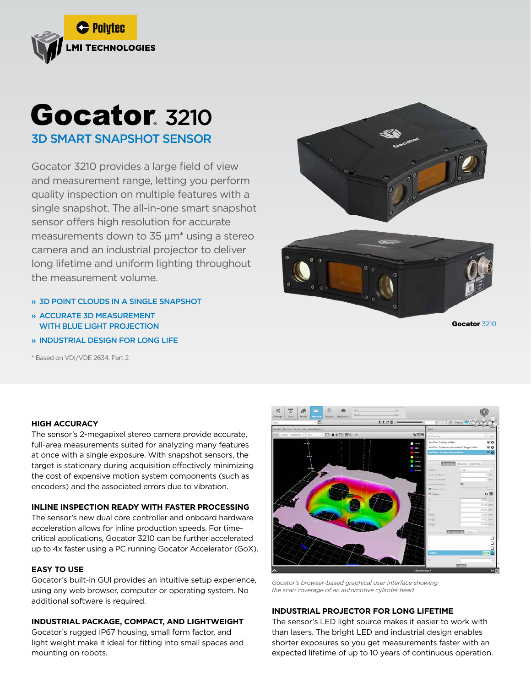

# **Gocator**, 3210 3D SMART SNAPSHOT SENSOR

Gocator 3210 provides a large field of view and measurement range, letting you perform quality inspection on multiple features with a single snapshot. The all-in-one smart snapshot sensor offers high resolution for accurate measurements down to 35 µm\* using a stereo camera and an industrial projector to deliver long lifetime and uniform lighting throughout the measurement volume.

- » 3D POINT CLOUDS IN A SINGLE SNAPSHOT
- » ACCURATE 3D MEASUREMENT WITH BLUE LIGHT PROJECTION
- » INDUSTRIAL DESIGN FOR LONG LIFE

\* Based on VDI/VDE 2634, Part 2





Gocator 3210

#### **HIGH ACCURACY**

The sensor's 2-megapixel stereo camera provide accurate, full-area measurements suited for analyzing many features at once with a single exposure. With snapshot sensors, the target is stationary during acquisition effectively minimizing the cost of expensive motion system components (such as encoders) and the associated errors due to vibration.

### **INLINE INSPECTION READY WITH FASTER PROCESSING**

The sensor's new dual core controller and onboard hardware acceleration allows for inline production speeds. For timecritical applications, Gocator 3210 can be further accelerated up to 4x faster using a PC running Gocator Accelerator (GoX).

#### **EASY TO USE**

Gocator's built-in GUI provides an intuitive setup experience, using any web browser, computer or operating system. No additional software is required.

#### **INDUSTRIAL PACKAGE, COMPACT, AND LIGHTWEIGHT**

Gocator's rugged IP67 housing, small form factor, and light weight make it ideal for fitting into small spaces and mounting on robots.



*Gocator's browser-based graphical user interface showing the scan coverage of an automotive cylinder head*

## **INDUSTRIAL PROJECTOR FOR LONG LIFETIME**

The sensor's LED light source makes it easier to work with than lasers. The bright LED and industrial design enables shorter exposures so you get measurements faster with an expected lifetime of up to 10 years of continuous operation.